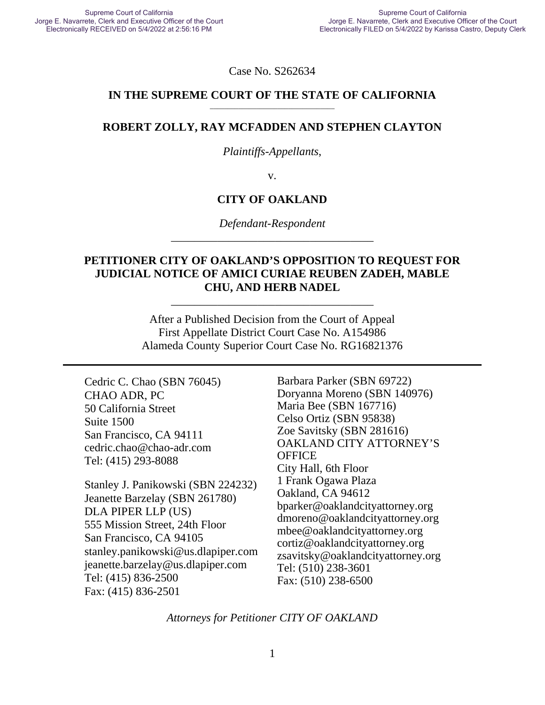Case No. S262634

#### **IN THE SUPREME COURT OF THE STATE OF CALIFORNIA**  \_\_\_\_\_\_\_\_\_\_\_\_\_\_\_\_\_\_\_\_\_\_\_\_\_\_\_\_\_\_\_\_\_\_\_

### **ROBERT ZOLLY, RAY MCFADDEN AND STEPHEN CLAYTON**

### *Plaintiffs-Appellants*,

v.

### **CITY OF OAKLAND**

*Defendant-Respondent*  \_\_\_\_\_\_\_\_\_\_\_\_\_\_\_\_\_\_\_\_\_\_\_\_\_\_\_\_\_\_\_\_\_\_\_

### **PETITIONER CITY OF OAKLAND'S OPPOSITION TO REQUEST FOR JUDICIAL NOTICE OF AMICI CURIAE REUBEN ZADEH, MABLE CHU, AND HERB NADEL**

\_\_\_\_\_\_\_\_\_\_\_\_\_\_\_\_\_\_\_\_\_\_\_\_\_\_\_\_\_\_\_\_\_\_\_

After a Published Decision from the Court of Appeal First Appellate District Court Case No. A154986 Alameda County Superior Court Case No. RG16821376

Cedric C. Chao (SBN 76045) CHAO ADR, PC 50 California Street Suite 1500 San Francisco, CA 94111 cedric.chao@chao-adr.com Tel: (415) 293-8088

Stanley J. Panikowski (SBN 224232) Jeanette Barzelay (SBN 261780) DLA PIPER LLP (US) 555 Mission Street, 24th Floor San Francisco, CA 94105 stanley.panikowski@us.dlapiper.com jeanette.barzelay@us.dlapiper.com Tel: (415) 836-2500 Fax: (415) 836-2501

Barbara Parker (SBN 69722) Doryanna Moreno (SBN 140976) Maria Bee (SBN 167716) Celso Ortiz (SBN 95838) Zoe Savitsky (SBN 281616) OAKLAND CITY ATTORNEY'S **OFFICE** City Hall, 6th Floor 1 Frank Ogawa Plaza Oakland, CA 94612 bparker@oaklandcityattorney.org dmoreno@oaklandcityattorney.org mbee@oaklandcityattorney.org cortiz@oaklandcityattorney.org zsavitsky@oaklandcityattorney.org Tel: (510) 238-3601 Fax: (510) 238-6500

*Attorneys for Petitioner CITY OF OAKLAND*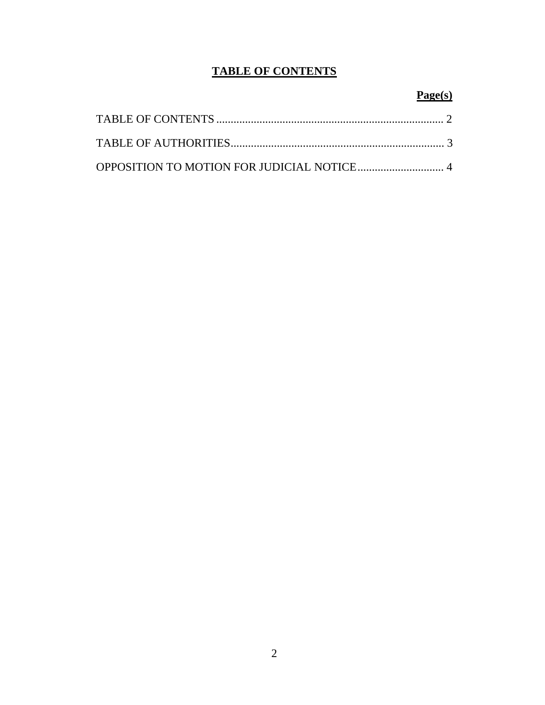## **TABLE OF CONTENTS**

# **Page(s)**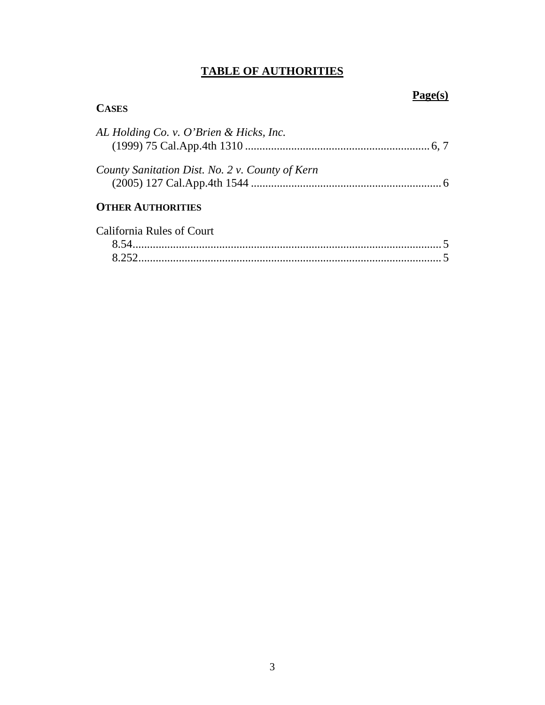# **TABLE OF AUTHORITIES**

## **Page(s)**

## **CASES**

| AL Holding Co. v. O'Brien & Hicks, Inc.         |  |
|-------------------------------------------------|--|
| County Sanitation Dist. No. 2 v. County of Kern |  |

## **OTHER AUTHORITIES**

| California Rules of Court |  |
|---------------------------|--|
|                           |  |
|                           |  |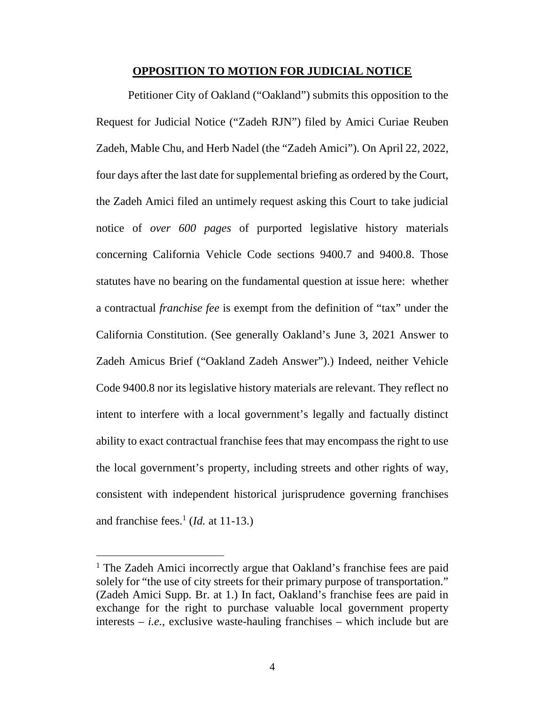#### **OPPOSITION TO MOTION FOR JUDICIAL NOTICE**

Petitioner City of Oakland ("Oakland") submits this opposition to the Request for Judicial Notice ("Zadeh RJN") filed by Amici Curiae Reuben Zadeh, Mable Chu, and Herb Nadel (the "Zadeh Amici"). On April 22, 2022, four days after the last date for supplemental briefing as ordered by the Court, the Zadeh Amici filed an untimely request asking this Court to take judicial notice of *over 600 pages* of purported legislative history materials concerning California Vehicle Code sections 9400.7 and 9400.8. Those statutes have no bearing on the fundamental question at issue here: whether a contractual *franchise fee* is exempt from the definition of "tax" under the California Constitution. (See generally Oakland's June 3, 2021 Answer to Zadeh Amicus Brief ("Oakland Zadeh Answer").) Indeed, neither Vehicle Code 9400.8 nor its legislative history materials are relevant. They reflect no intent to interfere with a local government's legally and factually distinct ability to exact contractual franchise fees that may encompass the right to use the local government's property, including streets and other rights of way, consistent with independent historical jurisprudence governing franchises and franchise fees.<sup>1</sup> (*Id.* at 11-13.)

<sup>&</sup>lt;sup>1</sup> The Zadeh Amici incorrectly argue that Oakland's franchise fees are paid solely for "the use of city streets for their primary purpose of transportation." (Zadeh Amici Supp. Br. at 1.) In fact, Oakland's franchise fees are paid in exchange for the right to purchase valuable local government property interests – *i.e.*, exclusive waste-hauling franchises – which include but are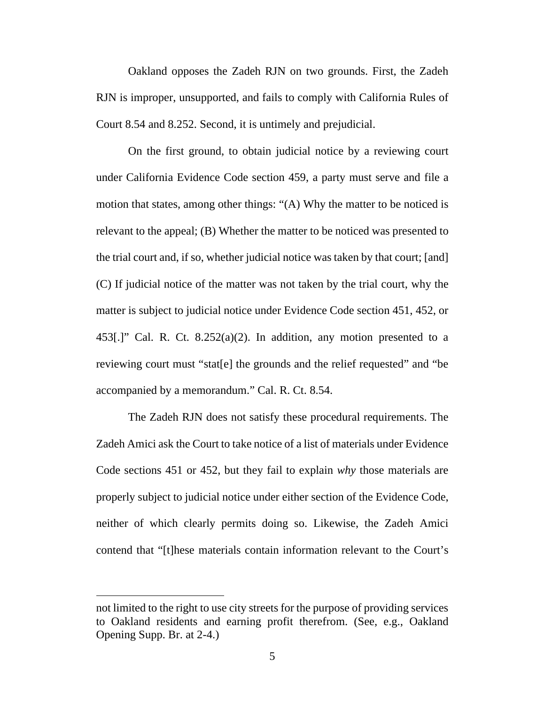Oakland opposes the Zadeh RJN on two grounds. First, the Zadeh RJN is improper, unsupported, and fails to comply with California Rules of Court 8.54 and 8.252. Second, it is untimely and prejudicial.

On the first ground, to obtain judicial notice by a reviewing court under California Evidence Code section 459, a party must serve and file a motion that states, among other things: "(A) Why the matter to be noticed is relevant to the appeal; (B) Whether the matter to be noticed was presented to the trial court and, if so, whether judicial notice was taken by that court; [and] (C) If judicial notice of the matter was not taken by the trial court, why the matter is subject to judicial notice under Evidence Code section 451, 452, or 453[.]" Cal. R. Ct.  $8.252(a)(2)$ . In addition, any motion presented to a reviewing court must "stat[e] the grounds and the relief requested" and "be accompanied by a memorandum." Cal. R. Ct. 8.54.

The Zadeh RJN does not satisfy these procedural requirements. The Zadeh Amici ask the Court to take notice of a list of materials under Evidence Code sections 451 or 452, but they fail to explain *why* those materials are properly subject to judicial notice under either section of the Evidence Code, neither of which clearly permits doing so. Likewise, the Zadeh Amici contend that "[t]hese materials contain information relevant to the Court's

not limited to the right to use city streets for the purpose of providing services to Oakland residents and earning profit therefrom. (See, e.g., Oakland Opening Supp. Br. at 2-4.)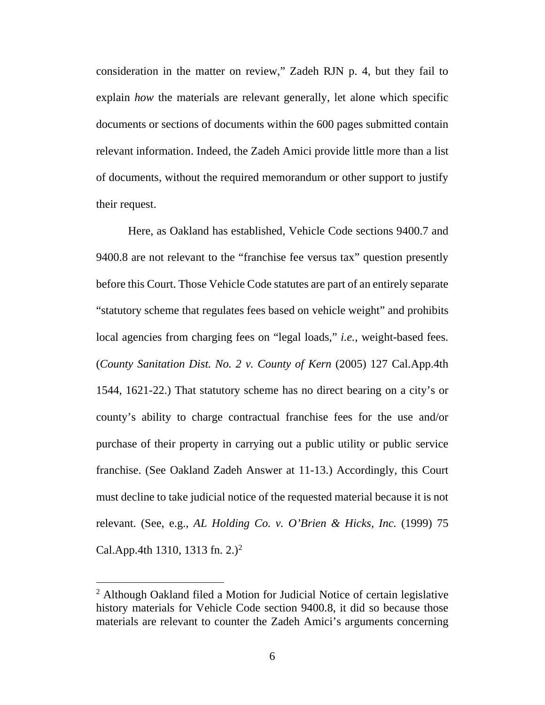consideration in the matter on review," Zadeh RJN p. 4, but they fail to explain *how* the materials are relevant generally, let alone which specific documents or sections of documents within the 600 pages submitted contain relevant information. Indeed, the Zadeh Amici provide little more than a list of documents, without the required memorandum or other support to justify their request.

Here, as Oakland has established, Vehicle Code sections 9400.7 and 9400.8 are not relevant to the "franchise fee versus tax" question presently before this Court. Those Vehicle Code statutes are part of an entirely separate "statutory scheme that regulates fees based on vehicle weight" and prohibits local agencies from charging fees on "legal loads," *i.e.*, weight-based fees. (*County Sanitation Dist. No. 2 v. County of Kern* (2005) 127 Cal.App.4th 1544, 1621-22.) That statutory scheme has no direct bearing on a city's or county's ability to charge contractual franchise fees for the use and/or purchase of their property in carrying out a public utility or public service franchise. (See Oakland Zadeh Answer at 11-13.) Accordingly, this Court must decline to take judicial notice of the requested material because it is not relevant. (See, e.g., *AL Holding Co. v. O'Brien & Hicks, Inc.* (1999) 75 Cal.App.4th 1310, 1313 fn.  $2.<sup>2</sup>$ 

<sup>2</sup> Although Oakland filed a Motion for Judicial Notice of certain legislative history materials for Vehicle Code section 9400.8, it did so because those materials are relevant to counter the Zadeh Amici's arguments concerning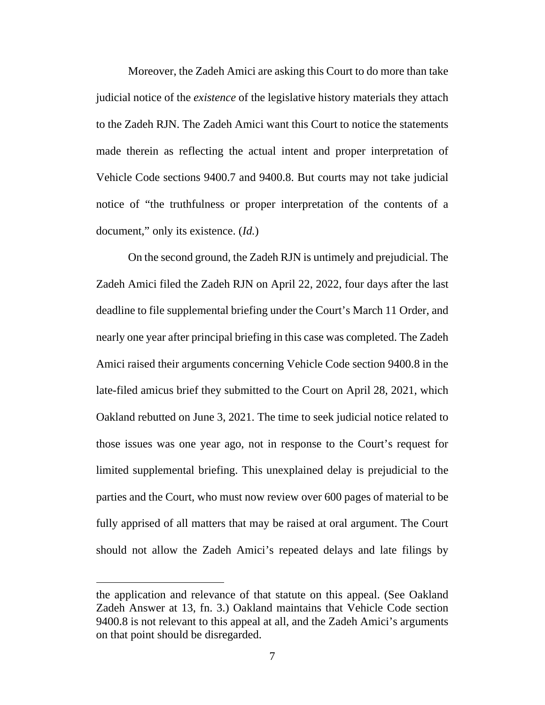Moreover, the Zadeh Amici are asking this Court to do more than take judicial notice of the *existence* of the legislative history materials they attach to the Zadeh RJN. The Zadeh Amici want this Court to notice the statements made therein as reflecting the actual intent and proper interpretation of Vehicle Code sections 9400.7 and 9400.8. But courts may not take judicial notice of "the truthfulness or proper interpretation of the contents of a document," only its existence. (*Id.*)

On the second ground, the Zadeh RJN is untimely and prejudicial. The Zadeh Amici filed the Zadeh RJN on April 22, 2022, four days after the last deadline to file supplemental briefing under the Court's March 11 Order, and nearly one year after principal briefing in this case was completed. The Zadeh Amici raised their arguments concerning Vehicle Code section 9400.8 in the late-filed amicus brief they submitted to the Court on April 28, 2021, which Oakland rebutted on June 3, 2021. The time to seek judicial notice related to those issues was one year ago, not in response to the Court's request for limited supplemental briefing. This unexplained delay is prejudicial to the parties and the Court, who must now review over 600 pages of material to be fully apprised of all matters that may be raised at oral argument. The Court should not allow the Zadeh Amici's repeated delays and late filings by

the application and relevance of that statute on this appeal. (See Oakland Zadeh Answer at 13, fn. 3.) Oakland maintains that Vehicle Code section 9400.8 is not relevant to this appeal at all, and the Zadeh Amici's arguments on that point should be disregarded.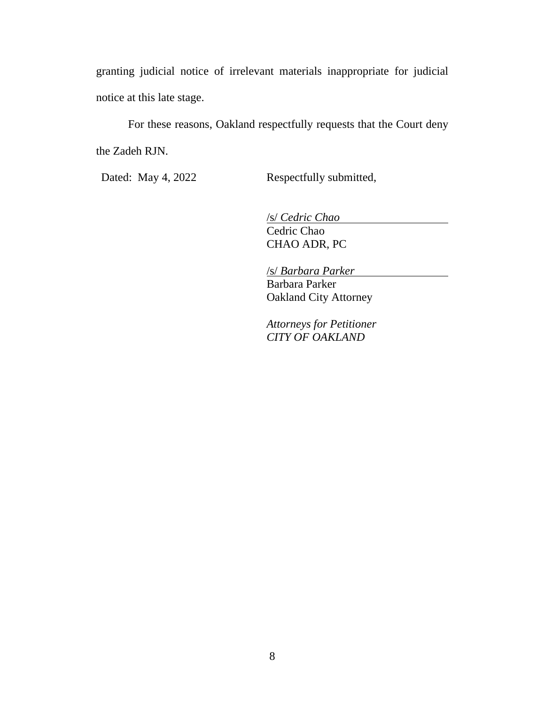granting judicial notice of irrelevant materials inappropriate for judicial notice at this late stage.

For these reasons, Oakland respectfully requests that the Court deny the Zadeh RJN.

Dated: May 4, 2022 Respectfully submitted,

/s/ *Cedric Chao* Cedric Chao CHAO ADR, PC

/s/ *Barbara Parker* Barbara Parker Oakland City Attorney

*Attorneys for Petitioner CITY OF OAKLAND*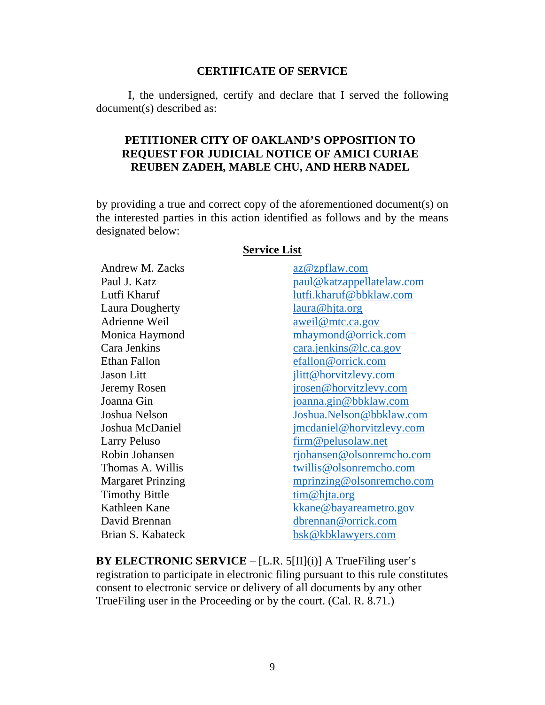#### **CERTIFICATE OF SERVICE**

I, the undersigned, certify and declare that I served the following document(s) described as:

### **PETITIONER CITY OF OAKLAND'S OPPOSITION TO REQUEST FOR JUDICIAL NOTICE OF AMICI CURIAE REUBEN ZADEH, MABLE CHU, AND HERB NADEL**

by providing a true and correct copy of the aforementioned document(s) on the interested parties in this action identified as follows and by the means designated below:

| Andrew M. Zacks          | az@zpflaw.com             |
|--------------------------|---------------------------|
| Paul J. Katz             | paul@katzappellatelaw.com |
| Lutfi Kharuf             | lutfi.kharuf@bbklaw.com   |
| Laura Dougherty          | laura@hjta.org            |
| Adrienne Weil            | aweil@mtc.ca.gov          |
| Monica Haymond           | mhaymond@orrick.com       |
| Cara Jenkins             | cara.jenkins@lc.ca.gov    |
| <b>Ethan Fallon</b>      | efallon@orrick.com        |
| <b>Jason Litt</b>        | jlitt@horvitzlevy.com     |
| Jeremy Rosen             | jrosen@horvitzlevy.com    |
| Joanna Gin               | joanna.gin@bbklaw.com     |
| Joshua Nelson            | Joshua.Nelson@bbklaw.com  |
| Joshua McDaniel          | jmcdaniel@horvitzlevy.com |
| <b>Larry Peluso</b>      | firm@pelusolaw.net        |
| Robin Johansen           | rjohansen@olsonremcho.com |
| Thomas A. Willis         | twillis@olsonremcho.com   |
| <b>Margaret Prinzing</b> | mprinzing@olsonremcho.com |
| <b>Timothy Bittle</b>    | tim@hjta.org              |
| Kathleen Kane            | kkane@bayareametro.gov    |
| David Brennan            | dbrennan@orrick.com       |
| Brian S. Kabateck        | bsk@kbklawyers.com        |

### **Service List**

**BY ELECTRONIC SERVICE** – [L.R. 5[II](i)] A TrueFiling user's registration to participate in electronic filing pursuant to this rule constitutes consent to electronic service or delivery of all documents by any other TrueFiling user in the Proceeding or by the court. (Cal. R. 8.71.)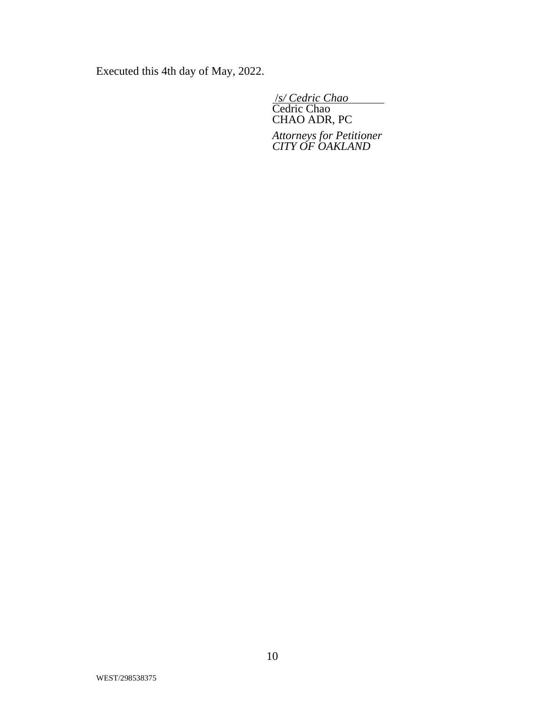Executed this 4th day of May, 2022.

 /*s/ Cedric Chao*  Cedric Chao CHAO ADR, PC

*Attorneys for Petitioner CITY OF OAKLAND*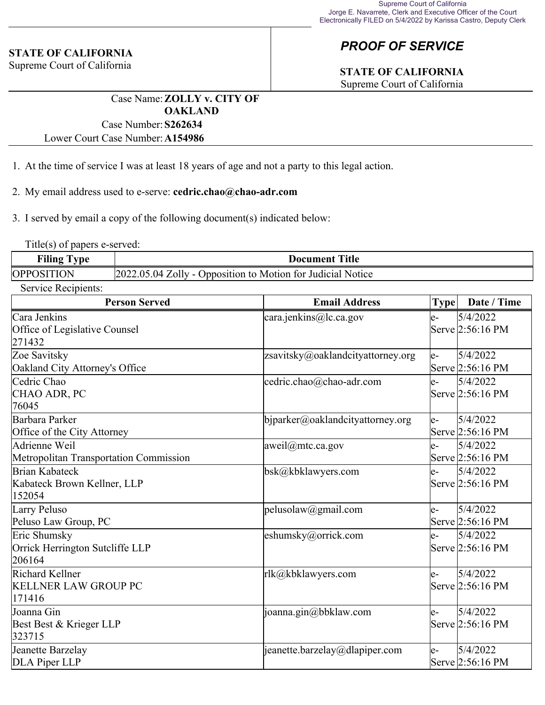### **STATE OF CALIFORNIA**

Supreme Court of California

## *PROOF OF SERVICE*

## **STATE OF CALIFORNIA**

Supreme Court of California

Case Name:**ZOLLY v. CITY OF OAKLAND** Case Number:**S262634**

Lower Court Case Number:**A154986**

- 1. At the time of service I was at least 18 years of age and not a party to this legal action.
- 2. My email address used to e-serve: **cedric.chao@chao-adr.com**

3. I served by email a copy of the following document(s) indicated below:

Title(s) of papers e-served:

| <b>Filing</b>  | <b>Title</b>                             |  |  |
|----------------|------------------------------------------|--|--|
| vpe            | Document                                 |  |  |
| OPPC           | $[2022.05.04 Zolly - C]$                 |  |  |
| <b>OSITION</b> | Opposition to Motion for Judicial Notice |  |  |

Service Recipients:

| <b>Person Served</b>                                      | <b>Email Address</b>               | Date / Time<br><b>Type</b>          |
|-----------------------------------------------------------|------------------------------------|-------------------------------------|
| Cara Jenkins<br>Office of Legislative Counsel<br>271432   | cara.jenkins@lc.ca.gov             | 5/4/2022<br>le-<br>Serve 2:56:16 PM |
| Zoe Savitsky<br>Oakland City Attorney's Office            | zsavitsky@oaklandcityattorney.org  | 5/4/2022<br>le-<br>Serve 2:56:16 PM |
| Cedric Chao<br>CHAO ADR, PC<br>76045                      | cedric.chao@chao-adr.com           | 5/4/2022<br>le-<br>Serve 2:56:16 PM |
| Barbara Parker<br>Office of the City Attorney             | biparker@oaklandcityattorney.org   | 5/4/2022<br>le-<br>Serve 2:56:16 PM |
| Adrienne Weil<br>Metropolitan Transportation Commission   | aweil@mtc.ca.gov                   | 5/4/2022<br>le-<br>Serve 2:56:16 PM |
| Brian Kabateck<br>Kabateck Brown Kellner, LLP<br>152054   | bsk@kbklawyers.com                 | 5/4/2022<br>le-<br>Serve 2:56:16 PM |
| Larry Peluso<br>Peluso Law Group, PC                      | pelusolaw@gmail.com                | 5/4/2022<br>le-<br>Serve 2:56:16 PM |
| Eric Shumsky<br>Orrick Herrington Sutcliffe LLP<br>206164 | eshumsky@orrick.com                | 5/4/2022<br>le-<br>Serve 2:56:16 PM |
| Richard Kellner<br><b>KELLNER LAW GROUP PC</b><br>171416  | rlk@kbklawyers.com                 | 5/4/2022<br>le-<br>Serve 2:56:16 PM |
| Joanna Gin<br>Best Best & Krieger LLP<br>323715           | joanna.gin@bbklaw.com              | 5/4/2022<br>le-<br>Serve 2:56:16 PM |
| Jeanette Barzelay<br>DLA Piper LLP                        | $ $ jeanette.barzelay@dlapiper.com | 5/4/2022<br>le-<br>Serve 2:56:16 PM |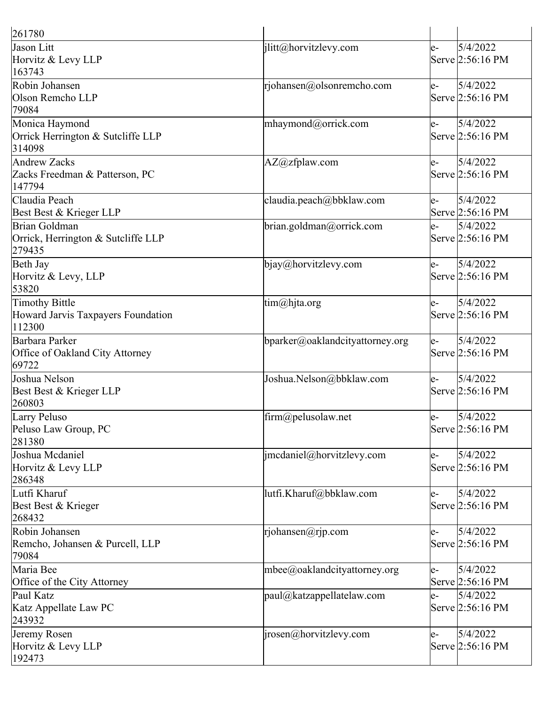| 261780                                                                |                                 |     |                              |
|-----------------------------------------------------------------------|---------------------------------|-----|------------------------------|
| Jason Litt<br>Horvitz & Levy LLP<br>163743                            | jlitt@horvitzlevy.com           | le- | 5/4/2022<br>Serve 2:56:16 PM |
| Robin Johansen<br>Olson Remcho LLP<br>79084                           | rjohansen@olsonremcho.com       | le- | 5/4/2022<br>Serve 2:56:16 PM |
| Monica Haymond<br>Orrick Herrington & Sutcliffe LLP<br>314098         | mhaymond@orrick.com             | le- | 5/4/2022<br>Serve 2:56:16 PM |
| <b>Andrew Zacks</b><br>Zacks Freedman & Patterson, PC<br>147794       | $AZ@zf$ plaw.com                | le- | 5/4/2022<br>Serve 2:56:16 PM |
| Claudia Peach<br>Best Best & Krieger LLP                              | claudia.peach@bbklaw.com        | le- | 5/4/2022<br>Serve 2:56:16 PM |
| Brian Goldman<br>Orrick, Herrington & Sutcliffe LLP<br>279435         | brian.goldman@orrick.com        | le- | 5/4/2022<br>Serve 2:56:16 PM |
| Beth Jay<br>Horvitz & Levy, LLP<br>53820                              | bjay@horvitzlevy.com            | le- | 5/4/2022<br>Serve 2:56:16 PM |
| <b>Timothy Bittle</b><br>Howard Jarvis Taxpayers Foundation<br>112300 | $\text{tim@hita.org}$           | le- | 5/4/2022<br>Serve 2:56:16 PM |
| Barbara Parker<br>Office of Oakland City Attorney<br>69722            | bparker@oaklandcityattorney.org | le- | 5/4/2022<br>Serve 2:56:16 PM |
| Joshua Nelson<br>Best Best & Krieger LLP<br>260803                    | Joshua.Nelson@bbklaw.com        | le- | 5/4/2022<br>Serve 2:56:16 PM |
| Larry Peluso<br>Peluso Law Group, PC<br>281380                        | firm@pelusolaw.net              | le- | 5/4/2022<br>Serve 2:56:16 PM |
| Joshua Mcdaniel<br>Horvitz & Levy LLP<br>286348                       | jmcdaniel@horvitzlevy.com       | le- | 5/4/2022<br>Serve 2:56:16 PM |
| Lutfi Kharuf<br>Best Best & Krieger<br>268432                         | lutfi.Kharuf@bbklaw.com         | le- | 5/4/2022<br>Serve 2:56:16 PM |
| Robin Johansen<br>Remcho, Johansen & Purcell, LLP<br>79084            | rjohansen@rjp.com               | le- | 5/4/2022<br>Serve 2:56:16 PM |
| Maria Bee<br>Office of the City Attorney                              | mbee@oaklandcityattorney.org    | le- | 5/4/2022<br>Serve 2:56:16 PM |
| Paul Katz<br>Katz Appellate Law PC<br>243932                          | paul@katzappellatelaw.com       | le- | 5/4/2022<br>Serve 2:56:16 PM |
| Jeremy Rosen<br>Horvitz & Levy LLP<br>192473                          | jrosen@horvitzlevy.com          | le- | 5/4/2022<br>Serve 2:56:16 PM |